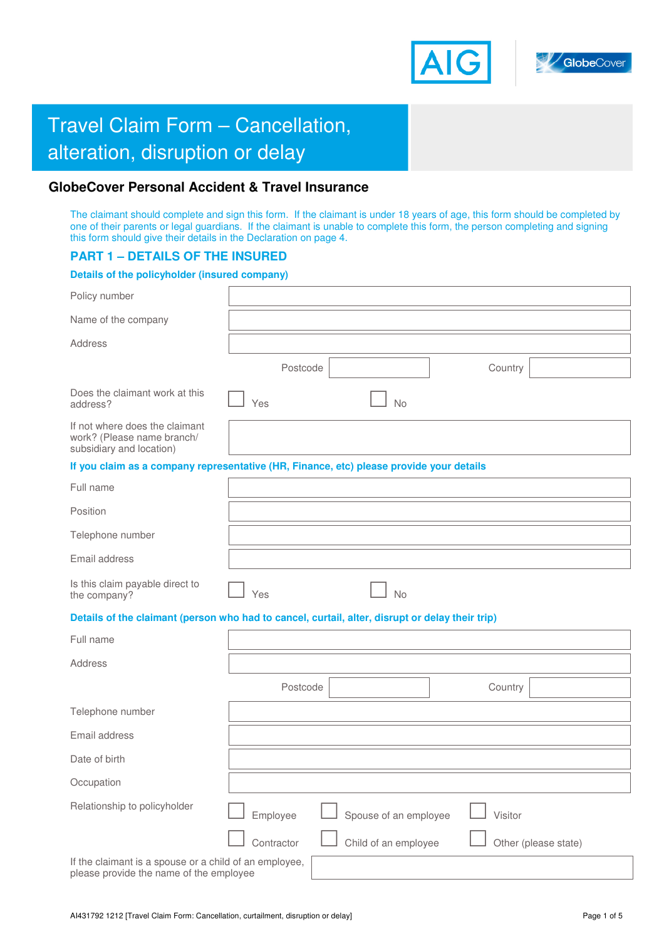



# **Travel Claim Form – Cancellation,** alteration, disruption or delay

# **GlobeCover Personal Accident & Travel Insurance**

The claimant should complete and sign this form. If the claimant is under 18 years of age, this form should be completed by one of their parents or legal guardians. If the claimant is unable to complete this form, the person completing and signing this form should give their details in the Declaration on page 4.

# **PART 1 – DETAILS OF THE INSURED**

# **Details of the policyholder (insured company)**

| Policy number                                                                                     |            |                       |         |                      |
|---------------------------------------------------------------------------------------------------|------------|-----------------------|---------|----------------------|
| Name of the company                                                                               |            |                       |         |                      |
| Address                                                                                           |            |                       |         |                      |
|                                                                                                   | Postcode   |                       | Country |                      |
| Does the claimant work at this<br>address?                                                        | Yes        | <b>No</b>             |         |                      |
| If not where does the claimant<br>work? (Please name branch/<br>subsidiary and location)          |            |                       |         |                      |
| If you claim as a company representative (HR, Finance, etc) please provide your details           |            |                       |         |                      |
| Full name                                                                                         |            |                       |         |                      |
| Position                                                                                          |            |                       |         |                      |
| Telephone number                                                                                  |            |                       |         |                      |
| Email address                                                                                     |            |                       |         |                      |
| Is this claim payable direct to<br>the company?                                                   | Yes        | <b>No</b>             |         |                      |
| Details of the claimant (person who had to cancel, curtail, alter, disrupt or delay their trip)   |            |                       |         |                      |
| Full name                                                                                         |            |                       |         |                      |
| Address                                                                                           |            |                       |         |                      |
|                                                                                                   | Postcode   |                       | Country |                      |
| Telephone number                                                                                  |            |                       |         |                      |
| Email address                                                                                     |            |                       |         |                      |
| Date of birth                                                                                     |            |                       |         |                      |
| Occupation                                                                                        |            |                       |         |                      |
| Relationship to policyholder                                                                      | Employee   | Spouse of an employee | Visitor |                      |
|                                                                                                   | Contractor | Child of an employee  |         | Other (please state) |
| If the claimant is a spouse or a child of an employee,<br>please provide the name of the employee |            |                       |         |                      |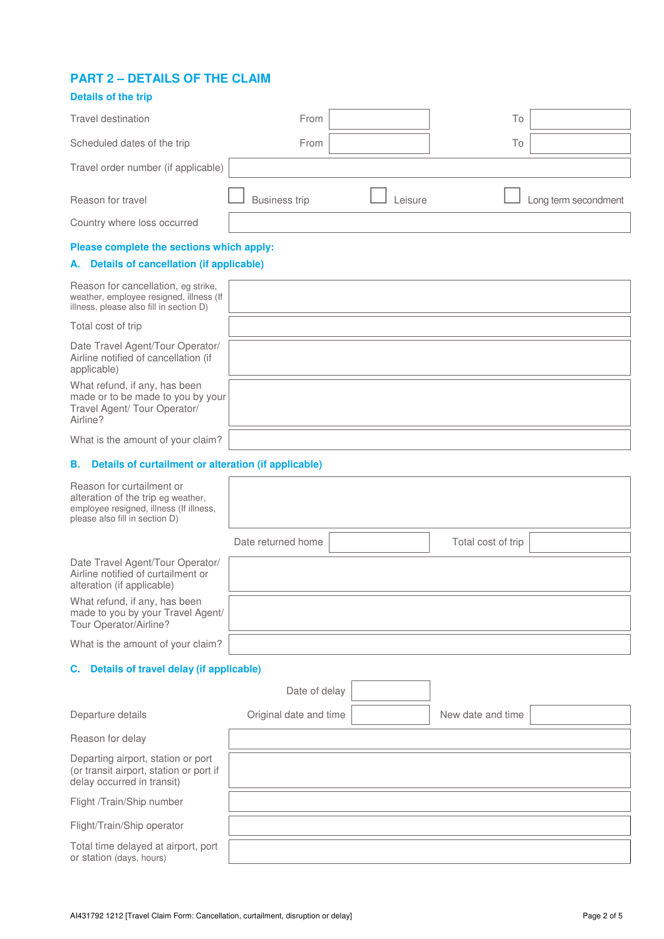# **PART 2 – DETAILS OF THE CLAIM**

# **Details of the trip**  Travel destination Travel and Towns Towns Towns Towns Towns Towns Towns Towns Towns Towns Towns Towns Towns To Scheduled dates of the trip From To Travel order number (if applicable) Reason for travel **CO** Business trip **CO** Leisure **CO** Long term secondment Country where loss occurred **Please complete the sections which apply: A. Details of cancellation (if applicable)** Reason for cancellation, eg strike, weather, employee resigned, illness (If illness, please also fill in section D) Total cost of trip Date Travel Agent/Tour Operator/ Airline notified of cancellation (if applicable) What refund, if any, has been made or to be made to you by your Travel Agent/ Tour Operator/ Airline?

What is the amount of your claim?

#### **B. Details of curtailment or alteration (if applicable)**

| Reason for curtailment or<br>alteration of the trip eg weather,<br>employee resigned, illness (If illness,<br>please also fill in section D) |                        |                    |  |
|----------------------------------------------------------------------------------------------------------------------------------------------|------------------------|--------------------|--|
|                                                                                                                                              | Date returned home     | Total cost of trip |  |
| Date Travel Agent/Tour Operator/<br>Airline notified of curtailment or<br>alteration (if applicable)                                         |                        |                    |  |
| What refund, if any, has been<br>made to you by your Travel Agent/<br>Tour Operator/Airline?                                                 |                        |                    |  |
| What is the amount of your claim?                                                                                                            |                        |                    |  |
| C. Details of travel delay (if applicable)                                                                                                   |                        |                    |  |
|                                                                                                                                              | Date of delay          |                    |  |
| Departure details                                                                                                                            | Original date and time | New date and time  |  |
| Reason for delay                                                                                                                             |                        |                    |  |
| Departing airport, station or port<br>(or transit airport, station or port if<br>delay occurred in transit)                                  |                        |                    |  |
| Flight /Train/Ship number                                                                                                                    |                        |                    |  |
| Flight/Train/Ship operator                                                                                                                   |                        |                    |  |
| Total time delayed at airport, port<br>or station (days, hours)                                                                              |                        |                    |  |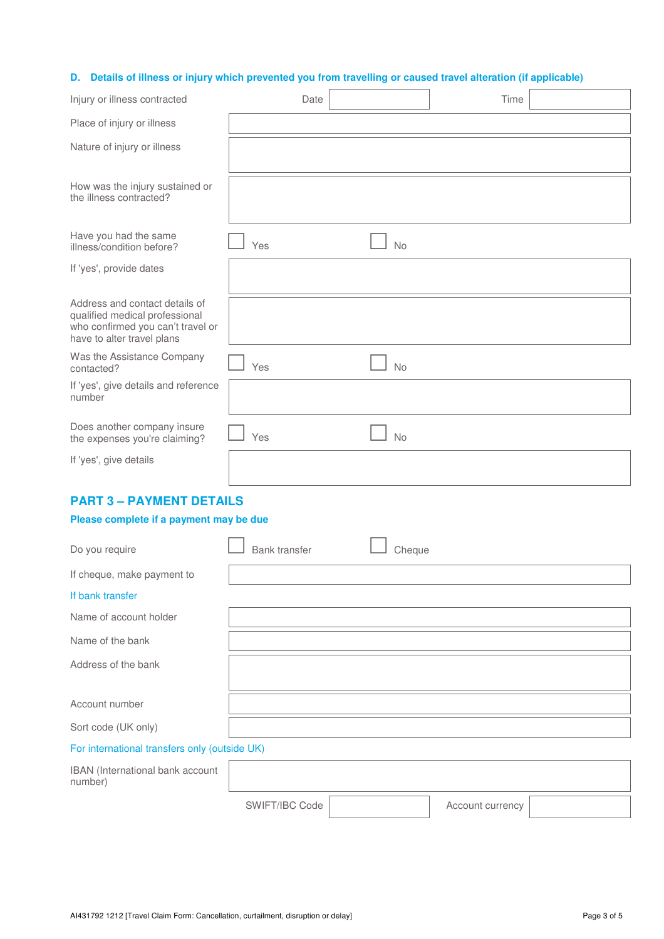### **D. Details of illness or injury which prevented you from travelling or caused travel alteration (if applicable)**

| Injury or illness contracted                                                                                                        | Date                 |           | Time |  |
|-------------------------------------------------------------------------------------------------------------------------------------|----------------------|-----------|------|--|
| Place of injury or illness                                                                                                          |                      |           |      |  |
| Nature of injury or illness                                                                                                         |                      |           |      |  |
| How was the injury sustained or<br>the illness contracted?                                                                          |                      |           |      |  |
| Have you had the same<br>illness/condition before?                                                                                  | Yes                  | <b>No</b> |      |  |
| If 'yes', provide dates                                                                                                             |                      |           |      |  |
| Address and contact details of<br>qualified medical professional<br>who confirmed you can't travel or<br>have to alter travel plans |                      |           |      |  |
| Was the Assistance Company<br>contacted?                                                                                            | Yes                  | No        |      |  |
| If 'yes', give details and reference<br>number                                                                                      |                      |           |      |  |
| Does another company insure<br>the expenses you're claiming?                                                                        | Yes                  | No        |      |  |
| If 'yes', give details                                                                                                              |                      |           |      |  |
| <b>PART 3 - PAYMENT DETAILS</b>                                                                                                     |                      |           |      |  |
| Please complete if a payment may be due                                                                                             |                      |           |      |  |
| Do you require                                                                                                                      | <b>Bank transfer</b> | Cheque    |      |  |
| If cheque, make payment to                                                                                                          |                      |           |      |  |
| If bank transfer                                                                                                                    |                      |           |      |  |
| Name of account holder                                                                                                              |                      |           |      |  |
| Name of the bank                                                                                                                    |                      |           |      |  |
| Address of the bank                                                                                                                 |                      |           |      |  |
| Account number                                                                                                                      |                      |           |      |  |
| Sort code (UK only)                                                                                                                 |                      |           |      |  |
| For international transfers only (outside UK)                                                                                       |                      |           |      |  |

# IBAN (International bank account number) SWIFT/IBC Code | Account currency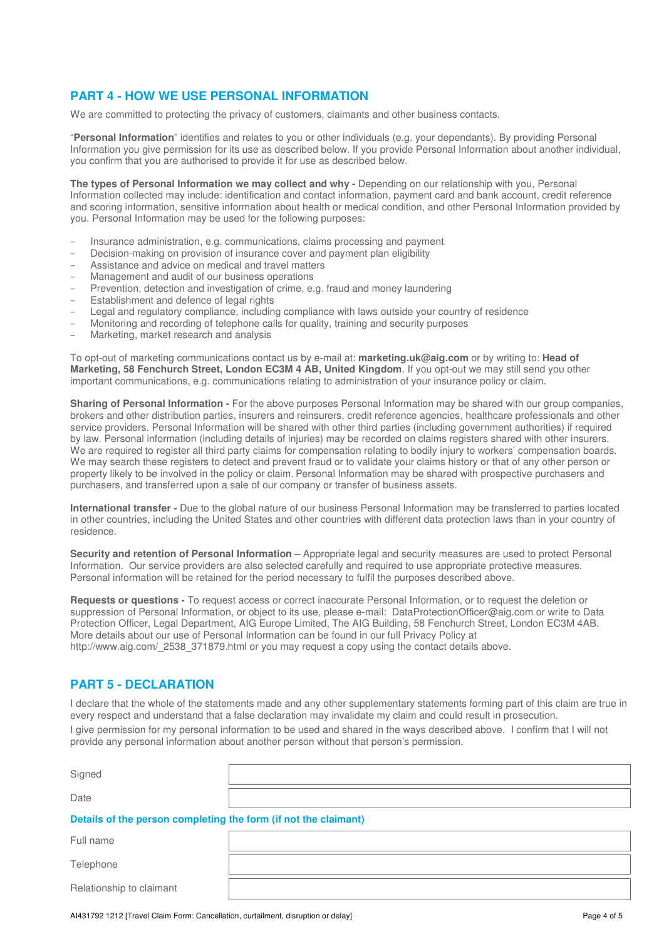# **PART 4 - HOW WE USE PERSONAL INFORMATION**

We are committed to protecting the privacy of customers, claimants and other business contacts.

"**Personal Information**" identifies and relates to you or other individuals (e.g. your dependants). By providing Personal Information you give permission for its use as described below. If you provide Personal Information about another individual, you confirm that you are authorised to provide it for use as described below.

The types of Personal Information we may collect and why - Depending on our relationship with you, Personal Information collected may include: identification and contact information, payment card and bank account, credit reference and scoring information, sensitive information about health or medical condition, and other Personal Information provided by you. Personal Information may be used for the following purposes:

- Insurance administration, e.g. communications, claims processing and payment
- Decision-making on provision of insurance cover and payment plan eligibility
- Assistance and advice on medical and travel matters
- Management and audit of our business operations
- Prevention, detection and investigation of crime, e.g. fraud and money laundering
- Establishment and defence of legal rights
- Legal and regulatory compliance, including compliance with laws outside your country of residence
- Monitoring and recording of telephone calls for quality, training and security purposes

provide any personal information about another person without that person's permission.

– Marketing, market research and analysis

To opt-out of marketing communications contact us by e-mail at: **marketing.uk@aig.com** or by writing to: **Head of Marketing, 58 Fenchurch Street, London EC3M 4 AB, United Kingdom**. If you opt-out we may still send you other important communications, e.g. communications relating to administration of your insurance policy or claim.

**Sharing of Personal Information -** For the above purposes Personal Information may be shared with our group companies, brokers and other distribution parties, insurers and reinsurers, credit reference agencies, healthcare professionals and other service providers. Personal Information will be shared with other third parties (including government authorities) if required by law. Personal information (including details of injuries) may be recorded on claims registers shared with other insurers. We are required to register all third party claims for compensation relating to bodily injury to workers' compensation boards. We may search these registers to detect and prevent fraud or to validate your claims history or that of any other person or property likely to be involved in the policy or claim. Personal Information may be shared with prospective purchasers and purchasers, and transferred upon a sale of our company or transfer of business assets.

**International transfer -** Due to the global nature of our business Personal Information may be transferred to parties located in other countries, including the United States and other countries with different data protection laws than in your country of residence.

**Security and retention of Personal Information** – Appropriate legal and security measures are used to protect Personal Information. Our service providers are also selected carefully and required to use appropriate protective measures. Personal information will be retained for the period necessary to fulfil the purposes described above.

**Requests or questions -** To request access or correct inaccurate Personal Information, or to request the deletion or suppression of Personal Information, or object to its use, please e-mail: DataProtectionOfficer@aig.com or write to Data Protection Officer, Legal Department, AIG Europe Limited, The AIG Building, 58 Fenchurch Street, London EC3M 4AB. More details about our use of Personal Information can be found in our full Privacy Policy at http://www.aig.com/\_2538\_371879.html or you may request a copy using the contact details above.

# **PART 5 - DECLARATION**

Relationship to claimant

I declare that the whole of the statements made and any other supplementary statements forming part of this claim are true in every respect and understand that a false declaration may invalidate my claim and could result in prosecution. I give permission for my personal information to be used and shared in the ways described above. I confirm that I will not

| Signed                                                          |  |
|-----------------------------------------------------------------|--|
|                                                                 |  |
| Date                                                            |  |
|                                                                 |  |
| Details of the person completing the form (if not the claimant) |  |
|                                                                 |  |
|                                                                 |  |
|                                                                 |  |
|                                                                 |  |
| Full name                                                       |  |
| Telephone                                                       |  |

AI431792 1212 [Travel Claim Form: Cancellation, curtailment, disruption or delay] Page 4 of 5